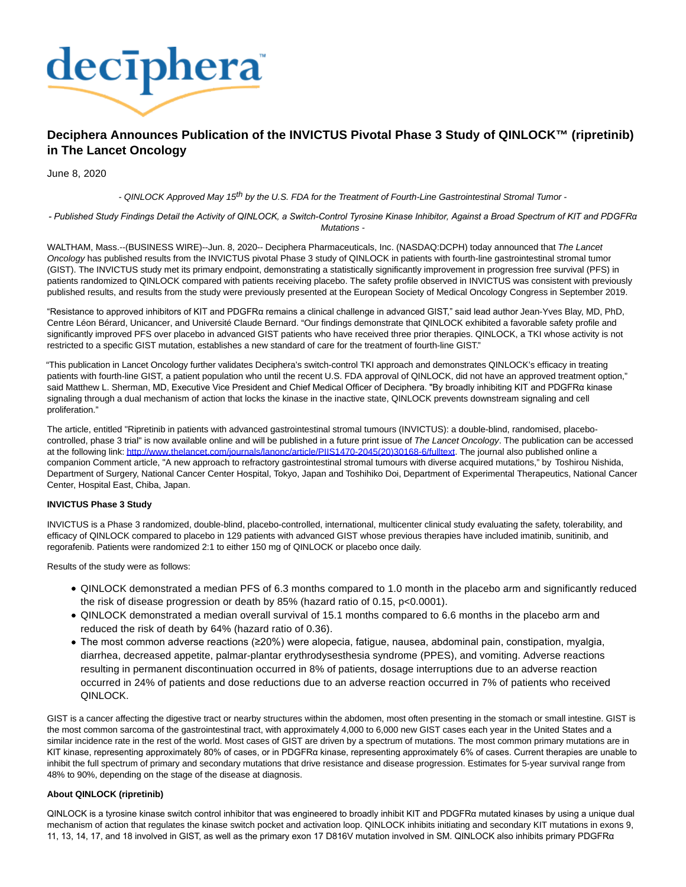

# **Deciphera Announces Publication of the INVICTUS Pivotal Phase 3 Study of QINLOCK™ (ripretinib) in The Lancet Oncology**

June 8, 2020

- QINLOCK Approved May 15<sup>th</sup> by the U.S. FDA for the Treatment of Fourth-Line Gastrointestinal Stromal Tumor -

*- Published Study Findings Detail the Activity of QINLOCK, a Switch-Control Tyrosine Kinase Inhibitor, Against a Broad Spectrum of KIT and PDGFRα* Mutations -

WALTHAM, Mass.--(BUSINESS WIRE)--Jun. 8, 2020-- Deciphera Pharmaceuticals, Inc. (NASDAQ:DCPH) today announced that The Lancet Oncology has published results from the INVICTUS pivotal Phase 3 study of QINLOCK in patients with fourth-line gastrointestinal stromal tumor (GIST). The INVICTUS study met its primary endpoint, demonstrating a statistically significantly improvement in progression free survival (PFS) in patients randomized to QINLOCK compared with patients receiving placebo. The safety profile observed in INVICTUS was consistent with previously published results, and results from the study were previously presented at the European Society of Medical Oncology Congress in September 2019.

"Resistance to approved inhibitors of KIT and PDGFRα remains a clinical challenge in advanced GIST," said lead author Jean-Yves Blay, MD, PhD, Centre Léon Bérard, Unicancer, and Université Claude Bernard. "Our findings demonstrate that QINLOCK exhibited a favorable safety profile and significantly improved PFS over placebo in advanced GIST patients who have received three prior therapies. QINLOCK, a TKI whose activity is not restricted to a specific GIST mutation, establishes a new standard of care for the treatment of fourth-line GIST."

"This publication in Lancet Oncology further validates Deciphera's switch-control TKI approach and demonstrates QINLOCK's efficacy in treating patients with fourth-line GIST, a patient population who until the recent U.S. FDA approval of QINLOCK, did not have an approved treatment option," said Matthew L. Sherman, MD, Executive Vice President and Chief Medical Officer of Deciphera. "By broadly inhibiting KIT and PDGFRα kinase signaling through a dual mechanism of action that locks the kinase in the inactive state, QINLOCK prevents downstream signaling and cell proliferation."

The article, entitled "Ripretinib in patients with advanced gastrointestinal stromal tumours (INVICTUS): a double-blind, randomised, placebocontrolled, phase 3 trial" is now available online and will be published in a future print issue of The Lancet Oncology. The publication can be accessed at the following link[: http://www.thelancet.com/journals/lanonc/article/PIIS1470-2045\(20\)30168-6/fulltext.](https://cts.businesswire.com/ct/CT?id=smartlink&url=https%3A%2F%2Fprotect-us.mimecast.com%2Fs%2FVxC5CyPD3jCm8LnUMa-nI%3Fdomain%3Durl.emailprotection.link&esheet=52231415&newsitemid=20200608005116&lan=en-US&anchor=http%3A%2F%2Fwww.thelancet.com%2Fjournals%2Flanonc%2Farticle%2FPIIS1470-2045%2820%2930168-6%2Ffulltext&index=1&md5=77edae735affd5b9e073c31eb6c2da8f) The journal also published online a companion Comment article, "A new approach to refractory gastrointestinal stromal tumours with diverse acquired mutations," by Toshirou Nishida, Department of Surgery, National Cancer Center Hospital, Tokyo, Japan and Toshihiko Doi, Department of Experimental Therapeutics, National Cancer Center, Hospital East, Chiba, Japan.

## **INVICTUS Phase 3 Study**

INVICTUS is a Phase 3 randomized, double-blind, placebo-controlled, international, multicenter clinical study evaluating the safety, tolerability, and efficacy of QINLOCK compared to placebo in 129 patients with advanced GIST whose previous therapies have included imatinib, sunitinib, and regorafenib. Patients were randomized 2:1 to either 150 mg of QINLOCK or placebo once daily.

Results of the study were as follows:

- QINLOCK demonstrated a median PFS of 6.3 months compared to 1.0 month in the placebo arm and significantly reduced the risk of disease progression or death by 85% (hazard ratio of 0.15, p<0.0001).
- QINLOCK demonstrated a median overall survival of 15.1 months compared to 6.6 months in the placebo arm and reduced the risk of death by 64% (hazard ratio of 0.36).
- The most common adverse reactions (≥20%) were alopecia, fatigue, nausea, abdominal pain, constipation, myalgia, diarrhea, decreased appetite, palmar-plantar erythrodysesthesia syndrome (PPES), and vomiting. Adverse reactions resulting in permanent discontinuation occurred in 8% of patients, dosage interruptions due to an adverse reaction occurred in 24% of patients and dose reductions due to an adverse reaction occurred in 7% of patients who received QINLOCK.

GIST is a cancer affecting the digestive tract or nearby structures within the abdomen, most often presenting in the stomach or small intestine. GIST is the most common sarcoma of the gastrointestinal tract, with approximately 4,000 to 6,000 new GIST cases each year in the United States and a similar incidence rate in the rest of the world. Most cases of GIST are driven by a spectrum of mutations. The most common primary mutations are in KIT kinase, representing approximately 80% of cases, or in PDGFRα kinase, representing approximately 6% of cases. Current therapies are unable to inhibit the full spectrum of primary and secondary mutations that drive resistance and disease progression. Estimates for 5-year survival range from 48% to 90%, depending on the stage of the disease at diagnosis.

## **About QINLOCK (ripretinib)**

QINLOCK is a tyrosine kinase switch control inhibitor that was engineered to broadly inhibit KIT and PDGFRα mutated kinases by using a unique dual mechanism of action that regulates the kinase switch pocket and activation loop. QINLOCK inhibits initiating and secondary KIT mutations in exons 9, 11, 13, 14, 17, and 18 involved in GIST, as well as the primary exon 17 D816V mutation involved in SM. QINLOCK also inhibits primary PDGFRα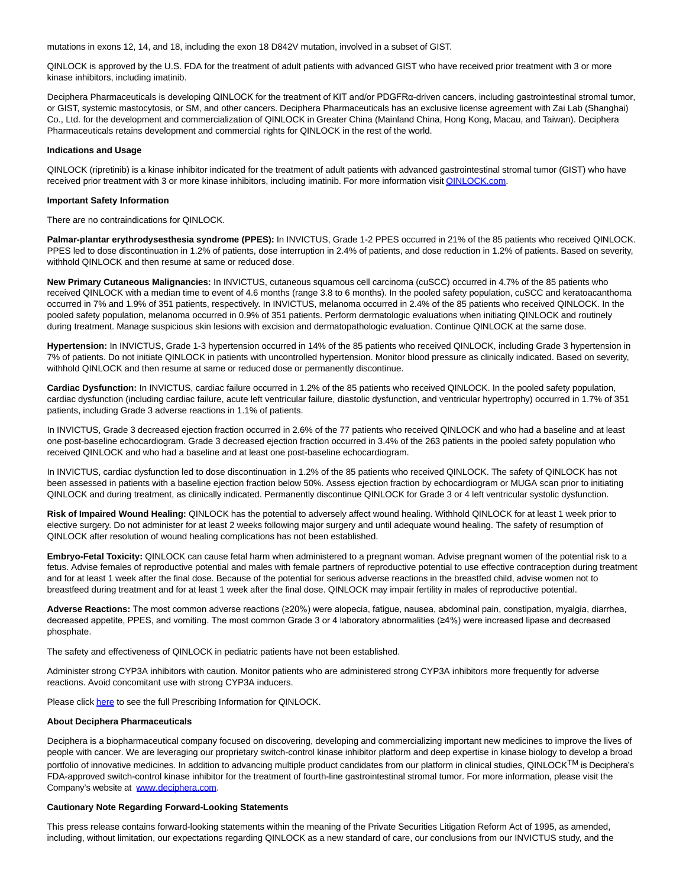mutations in exons 12, 14, and 18, including the exon 18 D842V mutation, involved in a subset of GIST.

QINLOCK is approved by the U.S. FDA for the treatment of adult patients with advanced GIST who have received prior treatment with 3 or more kinase inhibitors, including imatinib.

Deciphera Pharmaceuticals is developing QINLOCK for the treatment of KIT and/or PDGFRα-driven cancers, including gastrointestinal stromal tumor, or GIST, systemic mastocytosis, or SM, and other cancers. Deciphera Pharmaceuticals has an exclusive license agreement with Zai Lab (Shanghai) Co., Ltd. for the development and commercialization of QINLOCK in Greater China (Mainland China, Hong Kong, Macau, and Taiwan). Deciphera Pharmaceuticals retains development and commercial rights for QINLOCK in the rest of the world.

### **Indications and Usage**

QINLOCK (ripretinib) is a kinase inhibitor indicated for the treatment of adult patients with advanced gastrointestinal stromal tumor (GIST) who have received prior treatment with 3 or more kinase inhibitors, including imatinib. For more information visi[t QINLOCK.com.](http://qinlock.com/)

#### **Important Safety Information**

There are no contraindications for QINLOCK.

**Palmar-plantar erythrodysesthesia syndrome (PPES):** In INVICTUS, Grade 1-2 PPES occurred in 21% of the 85 patients who received QINLOCK. PPES led to dose discontinuation in 1.2% of patients, dose interruption in 2.4% of patients, and dose reduction in 1.2% of patients. Based on severity, withhold QINLOCK and then resume at same or reduced dose.

**New Primary Cutaneous Malignancies:** In INVICTUS, cutaneous squamous cell carcinoma (cuSCC) occurred in 4.7% of the 85 patients who received QINLOCK with a median time to event of 4.6 months (range 3.8 to 6 months). In the pooled safety population, cuSCC and keratoacanthoma occurred in 7% and 1.9% of 351 patients, respectively. In INVICTUS, melanoma occurred in 2.4% of the 85 patients who received QINLOCK. In the pooled safety population, melanoma occurred in 0.9% of 351 patients. Perform dermatologic evaluations when initiating QINLOCK and routinely during treatment. Manage suspicious skin lesions with excision and dermatopathologic evaluation. Continue QINLOCK at the same dose.

**Hypertension:** In INVICTUS, Grade 1-3 hypertension occurred in 14% of the 85 patients who received QINLOCK, including Grade 3 hypertension in 7% of patients. Do not initiate QINLOCK in patients with uncontrolled hypertension. Monitor blood pressure as clinically indicated. Based on severity, withhold QINLOCK and then resume at same or reduced dose or permanently discontinue.

**Cardiac Dysfunction:** In INVICTUS, cardiac failure occurred in 1.2% of the 85 patients who received QINLOCK. In the pooled safety population, cardiac dysfunction (including cardiac failure, acute left ventricular failure, diastolic dysfunction, and ventricular hypertrophy) occurred in 1.7% of 351 patients, including Grade 3 adverse reactions in 1.1% of patients.

In INVICTUS, Grade 3 decreased ejection fraction occurred in 2.6% of the 77 patients who received QINLOCK and who had a baseline and at least one post-baseline echocardiogram. Grade 3 decreased ejection fraction occurred in 3.4% of the 263 patients in the pooled safety population who received QINLOCK and who had a baseline and at least one post-baseline echocardiogram.

In INVICTUS, cardiac dysfunction led to dose discontinuation in 1.2% of the 85 patients who received QINLOCK. The safety of QINLOCK has not been assessed in patients with a baseline ejection fraction below 50%. Assess ejection fraction by echocardiogram or MUGA scan prior to initiating QINLOCK and during treatment, as clinically indicated. Permanently discontinue QINLOCK for Grade 3 or 4 left ventricular systolic dysfunction.

**Risk of Impaired Wound Healing:** QINLOCK has the potential to adversely affect wound healing. Withhold QINLOCK for at least 1 week prior to elective surgery. Do not administer for at least 2 weeks following major surgery and until adequate wound healing. The safety of resumption of QINLOCK after resolution of wound healing complications has not been established.

**Embryo-Fetal Toxicity:** QINLOCK can cause fetal harm when administered to a pregnant woman. Advise pregnant women of the potential risk to a fetus. Advise females of reproductive potential and males with female partners of reproductive potential to use effective contraception during treatment and for at least 1 week after the final dose. Because of the potential for serious adverse reactions in the breastfed child, advise women not to breastfeed during treatment and for at least 1 week after the final dose. QINLOCK may impair fertility in males of reproductive potential.

**Adverse Reactions:** The most common adverse reactions (≥20%) were alopecia, fatigue, nausea, abdominal pain, constipation, myalgia, diarrhea, decreased appetite, PPES, and vomiting. The most common Grade 3 or 4 laboratory abnormalities (≥4%) were increased lipase and decreased phosphate.

The safety and effectiveness of QINLOCK in pediatric patients have not been established.

Administer strong CYP3A inhibitors with caution. Monitor patients who are administered strong CYP3A inhibitors more frequently for adverse reactions. Avoid concomitant use with strong CYP3A inducers.

Please clic[k here t](https://cts.businesswire.com/ct/CT?id=smartlink&url=https%3A%2F%2Fwww.qinlockhcp.com%2Fcontent%2Ffiles%2Fprescribing-information.pdf&esheet=52231415&newsitemid=20200608005116&lan=en-US&anchor=here&index=2&md5=894555dcbf86811c9a39530bde41807e)o see the full Prescribing Information for QINLOCK.

### **About Deciphera Pharmaceuticals**

Deciphera is a biopharmaceutical company focused on discovering, developing and commercializing important new medicines to improve the lives of people with cancer. We are leveraging our proprietary switch-control kinase inhibitor platform and deep expertise in kinase biology to develop a broad portfolio of innovative medicines. In addition to advancing multiple product candidates from our platform in clinical studies, QINLOCK<sup>TM</sup> is Deciphera's FDA-approved switch-control kinase inhibitor for the treatment of fourth-line gastrointestinal stromal tumor. For more information, please visit the Company's website at [www.deciphera.com.](https://cts.businesswire.com/ct/CT?id=smartlink&url=http%3A%2F%2Fwww.deciphera.com&esheet=52231415&newsitemid=20200608005116&lan=en-US&anchor=www.deciphera.com&index=3&md5=13cd6cb5ba81b1530760dd2719e3a1ad)

### **Cautionary Note Regarding Forward-Looking Statements**

This press release contains forward-looking statements within the meaning of the Private Securities Litigation Reform Act of 1995, as amended, including, without limitation, our expectations regarding QINLOCK as a new standard of care, our conclusions from our INVICTUS study, and the